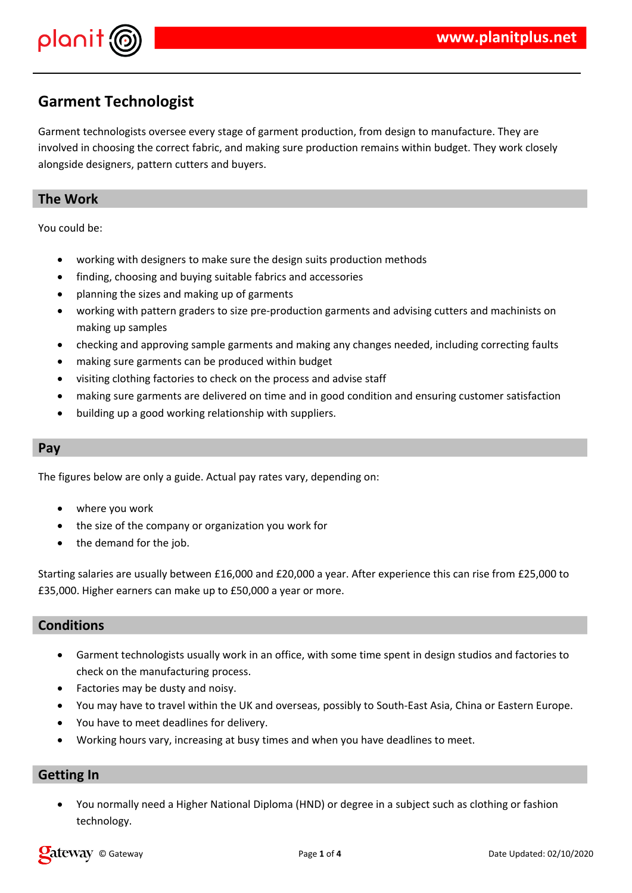

# **Garment Technologist**

Garment technologists oversee every stage of garment production, from design to manufacture. They are involved in choosing the correct fabric, and making sure production remains within budget. They work closely alongside designers, pattern cutters and buyers.

## **The Work**

You could be:

- working with designers to make sure the design suits production methods
- finding, choosing and buying suitable fabrics and accessories
- planning the sizes and making up of garments
- working with pattern graders to size pre-production garments and advising cutters and machinists on making up samples
- checking and approving sample garments and making any changes needed, including correcting faults
- making sure garments can be produced within budget
- visiting clothing factories to check on the process and advise staff
- making sure garments are delivered on time and in good condition and ensuring customer satisfaction
- building up a good working relationship with suppliers.

### **Pay**

The figures below are only a guide. Actual pay rates vary, depending on:

- where you work
- the size of the company or organization you work for
- the demand for the job.

Starting salaries are usually between £16,000 and £20,000 a year. After experience this can rise from £25,000 to £35,000. Higher earners can make up to £50,000 a year or more.

### **Conditions**

- Garment technologists usually work in an office, with some time spent in design studios and factories to check on the manufacturing process.
- Factories may be dusty and noisy.
- You may have to travel within the UK and overseas, possibly to South-East Asia, China or Eastern Europe.
- You have to meet deadlines for delivery.
- Working hours vary, increasing at busy times and when you have deadlines to meet.

### **Getting In**

 You normally need a Higher National Diploma (HND) or degree in a subject such as clothing or fashion technology.

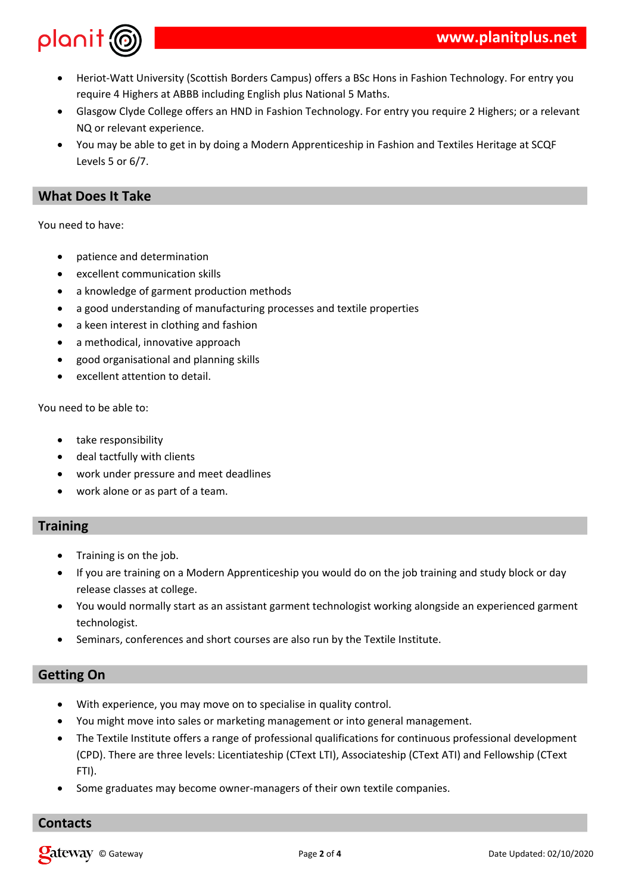



- Heriot-Watt University (Scottish Borders Campus) offers a BSc Hons in Fashion Technology. For entry you require 4 Highers at ABBB including English plus National 5 Maths.
- Glasgow Clyde College offers an HND in Fashion Technology. For entry you require 2 Highers; or a relevant NQ or relevant experience.
- You may be able to get in by doing a Modern Apprenticeship in Fashion and Textiles Heritage at SCQF Levels 5 or 6/7.

# **What Does It Take**

You need to have:

- patience and determination
- excellent communication skills
- a knowledge of garment production methods
- a good understanding of manufacturing processes and textile properties
- a keen interest in clothing and fashion
- a methodical, innovative approach
- good organisational and planning skills
- excellent attention to detail.

You need to be able to:

- take responsibility
- deal tactfully with clients
- work under pressure and meet deadlines
- work alone or as part of a team.

# **Training**

- Training is on the job.
- If you are training on a Modern Apprenticeship you would do on the job training and study block or day release classes at college.
- You would normally start as an assistant garment technologist working alongside an experienced garment technologist.
- Seminars, conferences and short courses are also run by the Textile Institute.

# **Getting On**

- With experience, you may move on to specialise in quality control.
- You might move into sales or marketing management or into general management.
- The Textile Institute offers a range of professional qualifications for continuous professional development (CPD). There are three levels: Licentiateship (CText LTI), Associateship (CText ATI) and Fellowship (CText FTI).
- Some graduates may become owner-managers of their own textile companies.

# **Contacts**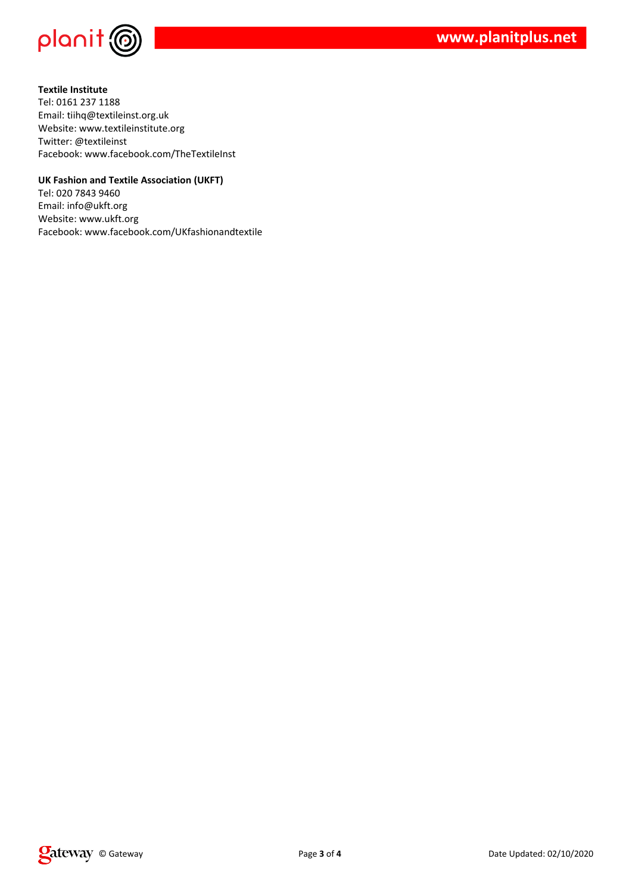

**Textile Institute** Tel: 0161 237 1188 Email: tiihq@textileinst.org.uk Website: www.textileinstitute.org Twitter: @textileinst Facebook: www.facebook.com/TheTextileInst

#### **UK Fashion and Textile Association (UKFT)**

Tel: 020 7843 9460 Email: info@ukft.org Website: www.ukft.org Facebook: www.facebook.com/UKfashionandtextile